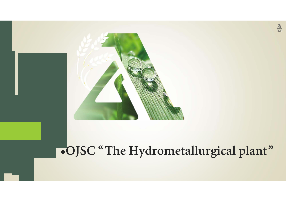

# •**OJSC "The Hydrometallurgical plant"**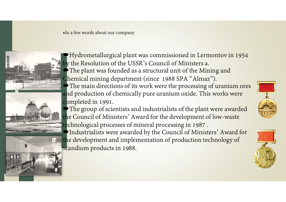•In a few words about our company



Hydrometallurgical plant was commissioned in Lermontov in 1954 by the Resolution of the USSR's Council of Ministers a. The plant was founded as a structural unit of the Mining and Chemical mining department (since 1988 SPA "Almaz").  $\blacktriangleright$  The main directions of its work were the processing of uranium ores and production of chemically pure uranium oxide. This works were completed in 1991.

The group of scientists and industrialists of the plant were awarded the Council of Ministers' Award for the development of low-waste technological processes of mineral processing in 1987 .

Industrialists were awarded by the Council of Ministers' Award for the development and implementation of production technology of scandium products in 1988.



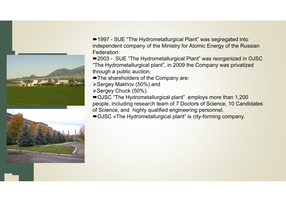



■1997 - SUE "The Hydrometallurgical Plant" was segregated into independent company of the Ministry for Atomic Energy of the Russian Federation.

■2003 - SUE "The Hydrometallurgical Plant" was reorganized in OJSC "The Hydrometallurgical plant", in 2009 the Company was privatized through a public auction.

- The shareholders of the Company are:
- Sergey Makhov (50%) and
- Sergey Chuck (50%).

■OJSC "The Hydrometallurgical plant" employs more than 1,200 people, including research team of 7 Doctors of Science, 10 Candidates of Science, and highly qualified engineering personnel.

■OJSC «The Hydrometallurgical plant" is city-forming company.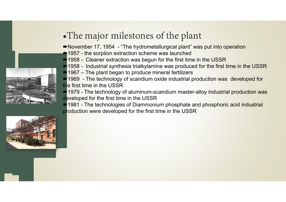

- ■November 17, 1954 "The hydrometallurgical plant" was put into operation
- ■1957 the sorption extraction scheme was launched
- **1958 Cleaner extraction was begun for the first time in the USSR**
- 1958 Industrial synthesis trialkylamine was produced for the first time in the USSR
- $\blacksquare$  1967 The plant began to produce mineral fertilizers

■ 1969 - The technology of scandium oxide industrial production was developed for the first time in the USSR

1979 - The technology of aluminum-scandium master-alloy industrial production was developed for the first time in the USSR

**1981 - The technologies of Diammonium phosphate and phosphoric acid industrial** production were developed for the first time in the USSR

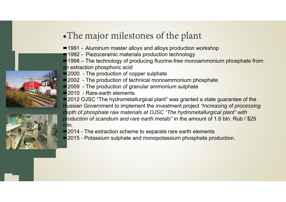## •The major milestones of the plant

- ■1991 Aluminum master alloys and alloys production workshop
- ■1992 Piezoceramic materials production technology
- **-1998** The technology of producing fluorine-free monoammonium phosphate from an extraction phosphoric acid
- $\rightarrow$  2000 The production of copper sulphate
- **2002** The production of technical monoammonium phosphate
- 2009 The production of granular ammonium sulphate
- 2010 Rare-earth elements

**2012 OJSC "The hydrometallurgical plant" was granted a state guarantee of the** Russian Government to implement the investment project *"Increasing of processing depth of phosphate raw materials at OJSC "The hydrometallurgical plant" with production of scandium and rare earth metals"* in the amount of 1.6 bln. Rub / \$25 mln.

- **2014 The extraction scheme to separate rare earth elements**
- 2015 Potassium sulphate and monopotassium phosphate production.



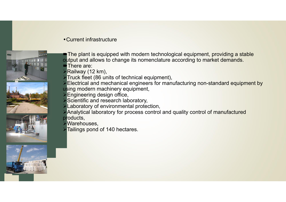### •Current infrastructure



m

- The plant is equipped with modern technological equipment, providing a stable output and allows to change its nomenclature according to market demands.
- There are:
- Railway (12 km),
- Truck fleet (86 units of technical equipment),
- Electrical and mechanical engineers for manufacturing non-standard equipment by using modern machinery equipment,
- Engineering design office,
- Scientific and research laboratory,
- Laboratory of environmental protection,
- Analytical laboratory for process control and quality control of manufactured products,
- Warehouses,
- Tailings pond of 140 hectares.

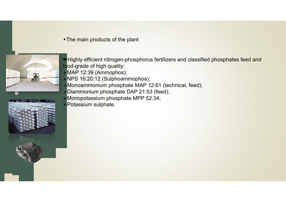•The main products of the plant



- Highly efficient nitrogen-phosphorus fertilizers and classified phosphates feed and food-grade of high quality:
- MAP 12:39 (Ammophos);
- >NPS 16:20:12 (Sulphoammophos);
- Monoammonium phosphate MAP 12:61 (technical, feed);
- Diammonium phosphate DAP 21:53 (feed);
- Monopotassium phosphate MPP 52:34;
- **Potassium sulphate.**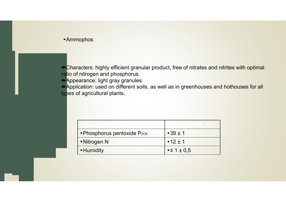#### •Ammophos

Characters: highly efficient granular product, free of nitrates and nitrites with optimal ratio of nitrogen and phosphorus.

**Appearance: light gray granules.** 

Application: used on different soils, as well as in greenhouses and hothouses for all types of agricultural plants.

| • Phosphorus pentoxide P205 | $\cdot$ 39 $\pm$ 1         |
|-----------------------------|----------------------------|
| • Nitrogen N                | $\cdot$ 12 $\pm$ 1         |
| • Humidity                  | $\cdot$ $\leq$ 1 $\pm$ 0.5 |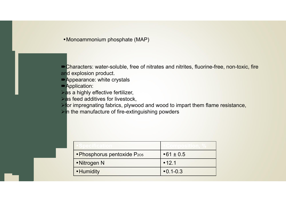•Monoammonium phosphate (MAP)

Characters: water-soluble, free of nitrates and nitrites, fluorine-free, non-toxic, fire and explosion product.

Appearance: white crystals

**Application:** 

 $\triangleright$  as a highly effective fertilizer,

 $\triangleright$  as feed additives for livestock,

**For impregnating fabrics, plywood and wood to impart them flame resistance,** 

 $\triangleright$  in the manufacture of fire-extinguishing powders

| $\cdot$ Phosphorus pentoxide P <sub>205</sub> | $•61 \pm 0.5$   |
|-----------------------------------------------|-----------------|
| • Nitrogen N                                  | •12.1           |
| • Humidity                                    | $\cdot$ 0.1-0.3 |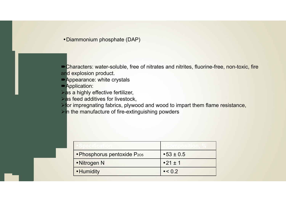•Diammonium phosphate (DAP)

Characters: water-soluble, free of nitrates and nitrites, fluorine-free, non-toxic, fire and explosion product.

Appearance: white crystals

**Application:** 

 $\triangleright$  as a highly effective fertilizer,

 $\triangleright$  as feed additives for livestock,

**For impregnating fabrics, plywood and wood to impart them flame resistance,** 

 $\triangleright$  in the manufacture of fire-extinguishing powders

| • Phosphorus pentoxide P205 | $•53 \pm 0.5$   |
|-----------------------------|-----------------|
| • Nitrogen N                | $•21 \pm 1$     |
| • Humidity                  | $\bullet$ < 0.2 |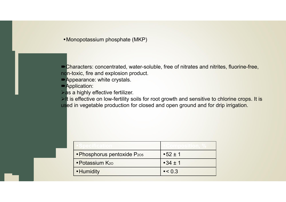•Monopotassium phosphate (MKP)

Characters: concentrated, water-soluble, free of nitrates and nitrites, fluorine-free, non-toxic, fire and explosion product.

Appearance: white crystals.

**Application:** 

 $\triangleright$  as a highly effective fertilizer.

 $\triangleright$  It is effective on low-fertility soils for root growth and sensitive to chlorine crops. It is used in vegetable production for closed and open ground and for drip irrigation.

| OSIOECHILOGILLO             |                    |
|-----------------------------|--------------------|
| • Phosphorus pentoxide P205 | $•52 \pm 1$        |
| • Potassium K <sub>20</sub> | $\cdot$ 34 $\pm$ 1 |
| • Humidity                  | $\cdot < 0.3$      |